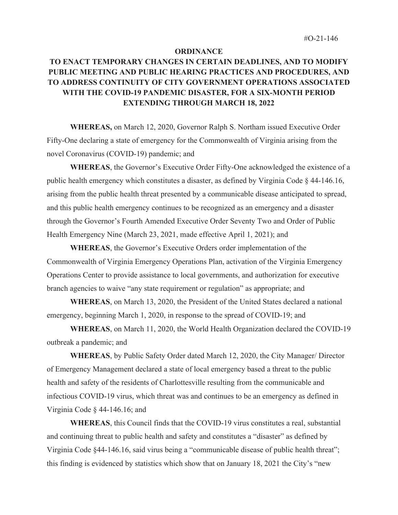## **ORDINANCE**

## **TO ENACT TEMPORARY CHANGES IN CERTAIN DEADLINES, AND TO MODIFY PUBLIC MEETING AND PUBLIC HEARING PRACTICES AND PROCEDURES, AND TO ADDRESS CONTINUITY OF CITY GOVERNMENT OPERATIONS ASSOCIATED WITH THE COVID-19 PANDEMIC DISASTER, FOR A SIX-MONTH PERIOD EXTENDING THROUGH MARCH 18, 2022**

 **WHEREAS,** on March 12, 2020, Governor Ralph S. Northam issued Executive Order Fifty-One declaring a state of emergency for the Commonwealth of Virginia arising from the novel Coronavirus (COVID-19) pandemic; and

**WHEREAS**, the Governor's Executive Order Fifty-One acknowledged the existence of a public health emergency which constitutes a disaster, as defined by Virginia Code § 44-146.16, arising from the public health threat presented by a communicable disease anticipated to spread, and this public health emergency continues to be recognized as an emergency and a disaster through the Governor's Fourth Amended Executive Order Seventy Two and Order of Public Health Emergency Nine (March 23, 2021, made effective April 1, 2021); and

**WHEREAS**, the Governor's Executive Orders order implementation of the Commonwealth of Virginia Emergency Operations Plan, activation of the Virginia Emergency Operations Center to provide assistance to local governments, and authorization for executive branch agencies to waive "any state requirement or regulation" as appropriate; and

**WHEREAS**, on March 13, 2020, the President of the United States declared a national emergency, beginning March 1, 2020, in response to the spread of COVID-19; and

**WHEREAS**, on March 11, 2020, the World Health Organization declared the COVID-19 outbreak a pandemic; and

**WHEREAS**, by Public Safety Order dated March 12, 2020, the City Manager/ Director of Emergency Management declared a state of local emergency based a threat to the public health and safety of the residents of Charlottesville resulting from the communicable and infectious COVID-19 virus, which threat was and continues to be an emergency as defined in Virginia Code § 44-146.16; and

**WHEREAS**, this Council finds that the COVID-19 virus constitutes a real, substantial and continuing threat to public health and safety and constitutes a "disaster" as defined by Virginia Code §44-146.16, said virus being a "communicable disease of public health threat"; this finding is evidenced by statistics which show that on January 18, 2021 the City's "new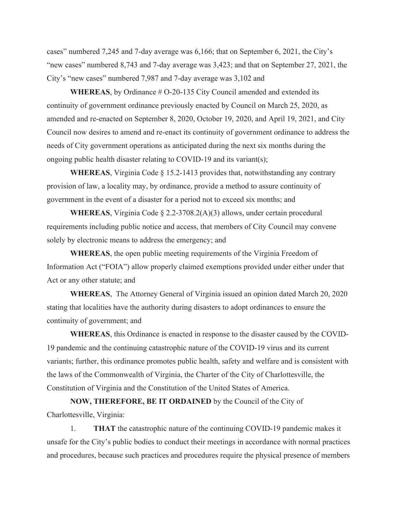cases" numbered 7,245 and 7-day average was 6,166; that on September 6, 2021, the City's "new cases" numbered 8,743 and 7-day average was 3,423; and that on September 27, 2021, the City's "new cases" numbered 7,987 and 7-day average was 3,102 and

**WHEREAS**, by Ordinance # O-20-135 City Council amended and extended its continuity of government ordinance previously enacted by Council on March 25, 2020, as amended and re-enacted on September 8, 2020, October 19, 2020, and April 19, 2021, and City Council now desires to amend and re-enact its continuity of government ordinance to address the needs of City government operations as anticipated during the next six months during the ongoing public health disaster relating to COVID-19 and its variant(s);

**WHEREAS**, Virginia Code § 15.2-1413 provides that, notwithstanding any contrary provision of law, a locality may, by ordinance, provide a method to assure continuity of government in the event of a disaster for a period not to exceed six months; and

**WHEREAS**, Virginia Code § 2.2-3708.2(A)(3) allows, under certain procedural requirements including public notice and access, that members of City Council may convene solely by electronic means to address the emergency; and

**WHEREAS**, the open public meeting requirements of the Virginia Freedom of Information Act ("FOIA") allow properly claimed exemptions provided under either under that Act or any other statute; and

**WHEREAS**, The Attorney General of Virginia issued an opinion dated March 20, 2020 stating that localities have the authority during disasters to adopt ordinances to ensure the continuity of government; and

**WHEREAS**, this Ordinance is enacted in response to the disaster caused by the COVID-19 pandemic and the continuing catastrophic nature of the COVID-19 virus and its current variants; further, this ordinance promotes public health, safety and welfare and is consistent with the laws of the Commonwealth of Virginia, the Charter of the City of Charlottesville, the Constitution of Virginia and the Constitution of the United States of America.

**NOW, THEREFORE, BE IT ORDAINED** by the Council of the City of Charlottesville, Virginia:

1. **THAT** the catastrophic nature of the continuing COVID-19 pandemic makes it unsafe for the City's public bodies to conduct their meetings in accordance with normal practices and procedures, because such practices and procedures require the physical presence of members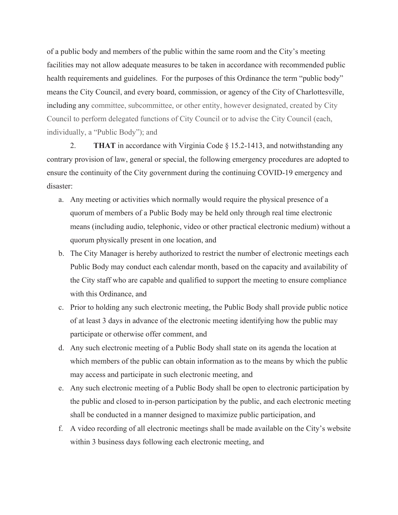of a public body and members of the public within the same room and the City's meeting facilities may not allow adequate measures to be taken in accordance with recommended public health requirements and guidelines. For the purposes of this Ordinance the term "public body" means the City Council, and every board, commission, or agency of the City of Charlottesville, including any committee, subcommittee, or other entity, however designated, created by City Council to perform delegated functions of City Council or to advise the City Council (each, individually, a "Public Body"); and

2. **THAT** in accordance with Virginia Code § 15.2-1413, and notwithstanding any contrary provision of law, general or special, the following emergency procedures are adopted to ensure the continuity of the City government during the continuing COVID-19 emergency and disaster:

- a. Any meeting or activities which normally would require the physical presence of a quorum of members of a Public Body may be held only through real time electronic means (including audio, telephonic, video or other practical electronic medium) without a quorum physically present in one location, and
- b. The City Manager is hereby authorized to restrict the number of electronic meetings each Public Body may conduct each calendar month, based on the capacity and availability of the City staff who are capable and qualified to support the meeting to ensure compliance with this Ordinance, and
- c. Prior to holding any such electronic meeting, the Public Body shall provide public notice of at least 3 days in advance of the electronic meeting identifying how the public may participate or otherwise offer comment, and
- d. Any such electronic meeting of a Public Body shall state on its agenda the location at which members of the public can obtain information as to the means by which the public may access and participate in such electronic meeting, and
- e. Any such electronic meeting of a Public Body shall be open to electronic participation by the public and closed to in-person participation by the public, and each electronic meeting shall be conducted in a manner designed to maximize public participation, and
- f. A video recording of all electronic meetings shall be made available on the City's website within 3 business days following each electronic meeting, and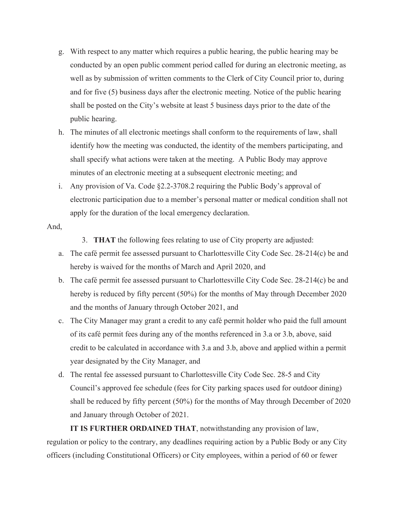- g. With respect to any matter which requires a public hearing, the public hearing may be conducted by an open public comment period called for during an electronic meeting, as well as by submission of written comments to the Clerk of City Council prior to, during and for five (5) business days after the electronic meeting. Notice of the public hearing shall be posted on the City's website at least 5 business days prior to the date of the public hearing.
- h. The minutes of all electronic meetings shall conform to the requirements of law, shall identify how the meeting was conducted, the identity of the members participating, and shall specify what actions were taken at the meeting. A Public Body may approve minutes of an electronic meeting at a subsequent electronic meeting; and
- i. Any provision of Va. Code §2.2-3708.2 requiring the Public Body's approval of electronic participation due to a member's personal matter or medical condition shall not apply for the duration of the local emergency declaration.

## And,

3. **THAT** the following fees relating to use of City property are adjusted:

- a. The café permit fee assessed pursuant to Charlottesville City Code Sec. 28-214(c) be and hereby is waived for the months of March and April 2020, and
- b. The café permit fee assessed pursuant to Charlottesville City Code Sec. 28-214(c) be and hereby is reduced by fifty percent (50%) for the months of May through December 2020 and the months of January through October 2021, and
- c. The City Manager may grant a credit to any café permit holder who paid the full amount of its café permit fees during any of the months referenced in 3.a or 3.b, above, said credit to be calculated in accordance with 3.a and 3.b, above and applied within a permit year designated by the City Manager, and
- d. The rental fee assessed pursuant to Charlottesville City Code Sec. 28-5 and City Council's approved fee schedule (fees for City parking spaces used for outdoor dining) shall be reduced by fifty percent (50%) for the months of May through December of 2020 and January through October of 2021.

**IT IS FURTHER ORDAINED THAT**, notwithstanding any provision of law, regulation or policy to the contrary, any deadlines requiring action by a Public Body or any City officers (including Constitutional Officers) or City employees, within a period of 60 or fewer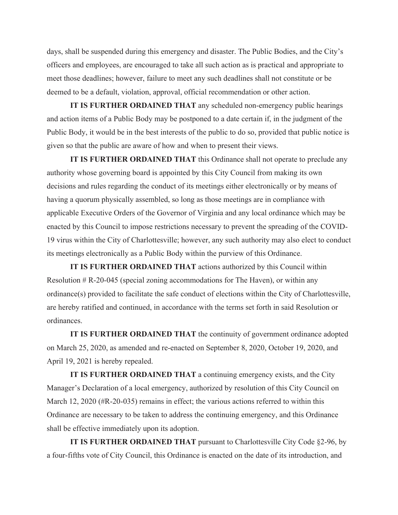days, shall be suspended during this emergency and disaster. The Public Bodies, and the City's officers and employees, are encouraged to take all such action as is practical and appropriate to meet those deadlines; however, failure to meet any such deadlines shall not constitute or be deemed to be a default, violation, approval, official recommendation or other action.

**IT IS FURTHER ORDAINED THAT** any scheduled non-emergency public hearings and action items of a Public Body may be postponed to a date certain if, in the judgment of the Public Body, it would be in the best interests of the public to do so, provided that public notice is given so that the public are aware of how and when to present their views.

**IT IS FURTHER ORDAINED THAT** this Ordinance shall not operate to preclude any authority whose governing board is appointed by this City Council from making its own decisions and rules regarding the conduct of its meetings either electronically or by means of having a quorum physically assembled, so long as those meetings are in compliance with applicable Executive Orders of the Governor of Virginia and any local ordinance which may be enacted by this Council to impose restrictions necessary to prevent the spreading of the COVID-19 virus within the City of Charlottesville; however, any such authority may also elect to conduct its meetings electronically as a Public Body within the purview of this Ordinance.

**IT IS FURTHER ORDAINED THAT** actions authorized by this Council within Resolution # R-20-045 (special zoning accommodations for The Haven), or within any ordinance(s) provided to facilitate the safe conduct of elections within the City of Charlottesville, are hereby ratified and continued, in accordance with the terms set forth in said Resolution or ordinances.

**IT IS FURTHER ORDAINED THAT** the continuity of government ordinance adopted on March 25, 2020, as amended and re-enacted on September 8, 2020, October 19, 2020, and April 19, 2021 is hereby repealed.

**IT IS FURTHER ORDAINED THAT** a continuing emergency exists, and the City Manager's Declaration of a local emergency, authorized by resolution of this City Council on March 12, 2020 (#R-20-035) remains in effect; the various actions referred to within this Ordinance are necessary to be taken to address the continuing emergency, and this Ordinance shall be effective immediately upon its adoption.

**IT IS FURTHER ORDAINED THAT** pursuant to Charlottesville City Code §2-96, by a four-fifths vote of City Council, this Ordinance is enacted on the date of its introduction, and